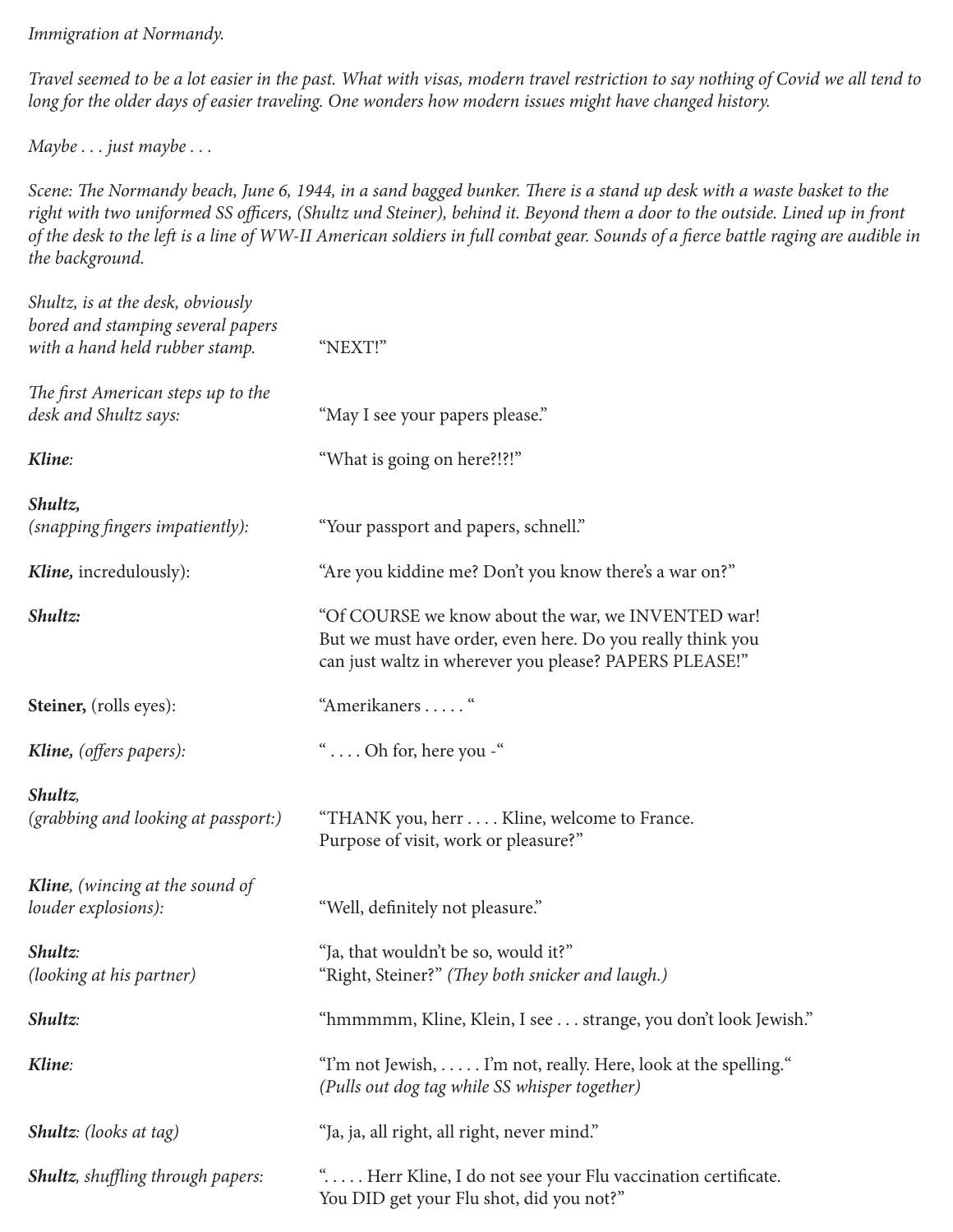*Immigration at Normandy.*

*Travel seemed to be a lot easier in the past. What with visas, modern travel restriction to say nothing of Covid we all tend to long for the older days of easier traveling. One wonders how modern issues might have changed history.* 

*Maybe . . . just maybe . . .* 

*Scene: The Normandy beach, June 6, 1944, in a sand bagged bunker. There is a stand up desk with a waste basket to the right with two uniformed SS officers, (Shultz und Steiner), behind it. Beyond them a door to the outside. Lined up in front of the desk to the left is a line of WW-II American soldiers in full combat gear. Sounds of a fierce battle raging are audible in the background.*

| Shultz, is at the desk, obviously<br>bored and stamping several papers<br>with a hand held rubber stamp. | "NEXT!"                                                                                                                                                                    |
|----------------------------------------------------------------------------------------------------------|----------------------------------------------------------------------------------------------------------------------------------------------------------------------------|
| The first American steps up to the<br>desk and Shultz says:                                              | "May I see your papers please."                                                                                                                                            |
| Kline:                                                                                                   | "What is going on here?!?!"                                                                                                                                                |
| Shultz,<br>(snapping fingers impatiently):                                                               | "Your passport and papers, schnell."                                                                                                                                       |
| <b>Kline</b> , incredulously):                                                                           | "Are you kiddine me? Don't you know there's a war on?"                                                                                                                     |
| Shultz:                                                                                                  | "Of COURSE we know about the war, we INVENTED war!<br>But we must have order, even here. Do you really think you<br>can just waltz in wherever you please? PAPERS PLEASE!" |
| <b>Steiner,</b> (rolls eyes):                                                                            | "Amerikaners "                                                                                                                                                             |
| <b>Kline,</b> (offers papers):                                                                           | " Oh for, here you -"                                                                                                                                                      |
| Shultz,<br>(grabbing and looking at passport:)                                                           | "THANK you, herr Kline, welcome to France.<br>Purpose of visit, work or pleasure?"                                                                                         |
| <b>Kline</b> , (wincing at the sound of<br>louder explosions):                                           | "Well, definitely not pleasure."                                                                                                                                           |
| Shultz:<br>(looking at his partner)                                                                      | "Ja, that wouldn't be so, would it?"<br>"Right, Steiner?" (They both snicker and laugh.)                                                                                   |
| Shultz:                                                                                                  | "hmmmmm, Kline, Klein, I see strange, you don't look Jewish."                                                                                                              |
| Kline:                                                                                                   | "I'm not Jewish,  I'm not, really. Here, look at the spelling."<br>(Pulls out dog tag while SS whisper together)                                                           |
| <b>Shultz</b> : (looks at tag)                                                                           | "Ja, ja, all right, all right, never mind."                                                                                                                                |
| <b>Shultz</b> , shuffling through papers:                                                                | " Herr Kline, I do not see your Flu vaccination certificate.<br>You DID get your Flu shot, did you not?"                                                                   |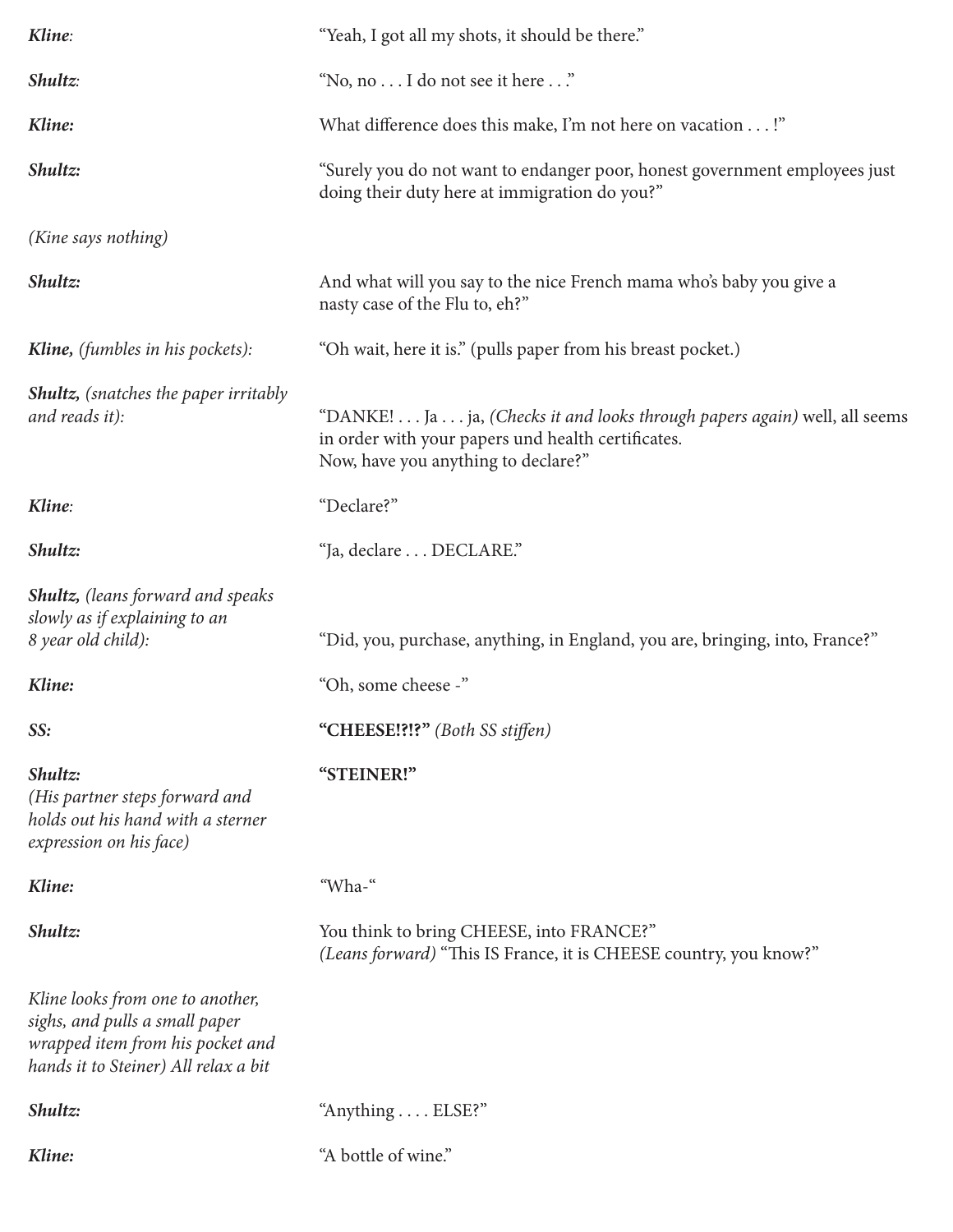| Kline:                                                                                                                                         | "Yeah, I got all my shots, it should be there."                                                                                                                        |
|------------------------------------------------------------------------------------------------------------------------------------------------|------------------------------------------------------------------------------------------------------------------------------------------------------------------------|
| Shultz:                                                                                                                                        | "No, no I do not see it here"                                                                                                                                          |
| Kline:                                                                                                                                         | What difference does this make, I'm not here on vacation !"                                                                                                            |
| Shultz:                                                                                                                                        | "Surely you do not want to endanger poor, honest government employees just<br>doing their duty here at immigration do you?"                                            |
| (Kine says nothing)                                                                                                                            |                                                                                                                                                                        |
| Shultz:                                                                                                                                        | And what will you say to the nice French mama who's baby you give a<br>nasty case of the Flu to, eh?"                                                                  |
| Kline, (fumbles in his pockets):                                                                                                               | "Oh wait, here it is." (pulls paper from his breast pocket.)                                                                                                           |
| <b>Shultz,</b> (snatches the paper irritably<br>and reads it):                                                                                 | "DANKE! Ja ja, (Checks it and looks through papers again) well, all seems<br>in order with your papers und health certificates.<br>Now, have you anything to declare?" |
| Kline:                                                                                                                                         | "Declare?"                                                                                                                                                             |
| Shultz:                                                                                                                                        | "Ja, declare DECLARE."                                                                                                                                                 |
| <b>Shultz,</b> (leans forward and speaks<br>slowly as if explaining to an<br>8 year old child):                                                | "Did, you, purchase, anything, in England, you are, bringing, into, France?"                                                                                           |
| Kline:                                                                                                                                         | "Oh, some cheese -"                                                                                                                                                    |
| SS:                                                                                                                                            | "CHEESE!?!?" (Both SS stiffen)                                                                                                                                         |
| Shultz:<br>(His partner steps forward and<br>holds out his hand with a sterner<br>expression on his face)                                      | "STEINER!"                                                                                                                                                             |
| Kline:                                                                                                                                         | "Wha-"                                                                                                                                                                 |
| Shultz:                                                                                                                                        | You think to bring CHEESE, into FRANCE?"<br>(Leans forward) "This IS France, it is CHEESE country, you know?"                                                          |
| Kline looks from one to another,<br>sighs, and pulls a small paper<br>wrapped item from his pocket and<br>hands it to Steiner) All relax a bit |                                                                                                                                                                        |
| Shultz:                                                                                                                                        | "Anything ELSE?"                                                                                                                                                       |
| Kline:                                                                                                                                         | "A bottle of wine."                                                                                                                                                    |
|                                                                                                                                                |                                                                                                                                                                        |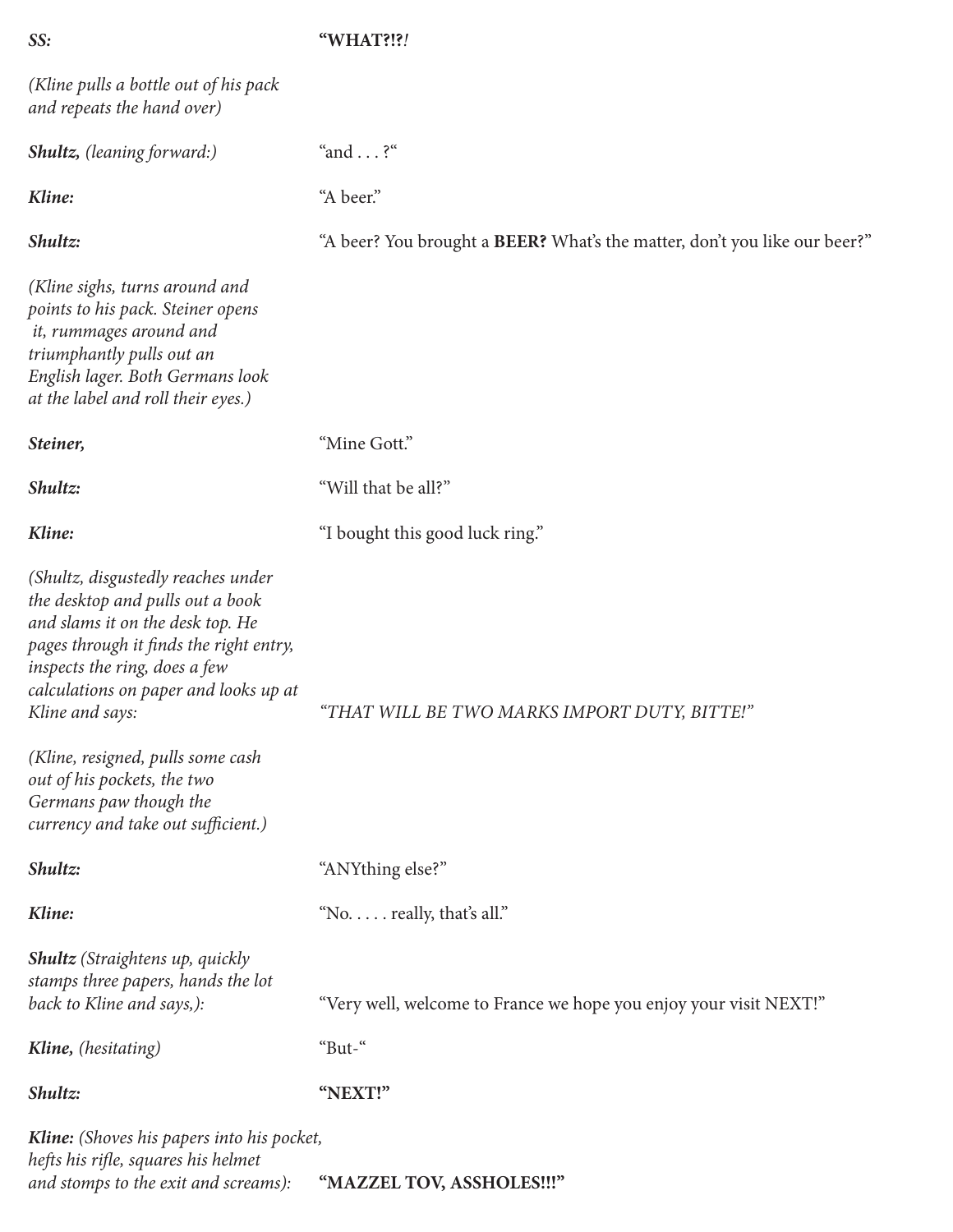## *SS:* **"WHAT?!?***!*

| (Kline pulls a bottle out of his pack)<br>and repeats the hand over)                                                                                                                                                                                                                                                                                                                   |                                                                           |
|----------------------------------------------------------------------------------------------------------------------------------------------------------------------------------------------------------------------------------------------------------------------------------------------------------------------------------------------------------------------------------------|---------------------------------------------------------------------------|
| <b>Shultz,</b> (leaning forward:)                                                                                                                                                                                                                                                                                                                                                      | "and $\ldots$ ?"                                                          |
| Kline:                                                                                                                                                                                                                                                                                                                                                                                 | "A beer."                                                                 |
| Shultz:                                                                                                                                                                                                                                                                                                                                                                                | "A beer? You brought a BEER? What's the matter, don't you like our beer?" |
| (Kline sighs, turns around and<br>points to his pack. Steiner opens<br>it, rummages around and<br>triumphantly pulls out an<br>English lager. Both Germans look<br>at the label and roll their eyes.)                                                                                                                                                                                  |                                                                           |
| Steiner,                                                                                                                                                                                                                                                                                                                                                                               | "Mine Gott."                                                              |
| Shultz:                                                                                                                                                                                                                                                                                                                                                                                | "Will that be all?"                                                       |
| Kline:                                                                                                                                                                                                                                                                                                                                                                                 | "I bought this good luck ring."                                           |
| (Shultz, disgustedly reaches under<br>the desktop and pulls out a book<br>and slams it on the desk top. He<br>pages through it finds the right entry,<br>inspects the ring, does a few<br>calculations on paper and looks up at<br>Kline and says:<br>(Kline, resigned, pulls some cash<br>out of his pockets, the two<br>Germans paw though the<br>currency and take out sufficient.) | "THAT WILL BE TWO MARKS IMPORT DUTY, BITTE!"                              |
| Shultz:                                                                                                                                                                                                                                                                                                                                                                                | "ANYthing else?"                                                          |
| Kline:                                                                                                                                                                                                                                                                                                                                                                                 | "No. really, that's all."                                                 |
| <b>Shultz</b> (Straightens up, quickly<br>stamps three papers, hands the lot<br>back to Kline and says,):                                                                                                                                                                                                                                                                              | "Very well, welcome to France we hope you enjoy your visit NEXT!"         |
| Kline, (hesitating)                                                                                                                                                                                                                                                                                                                                                                    | "But-"                                                                    |
| Shultz:                                                                                                                                                                                                                                                                                                                                                                                | "NEXT!"                                                                   |
| Kline: (Shoves his papers into his pocket,<br>hefts his rifle, squares his helmet<br>and stomps to the exit and screams):                                                                                                                                                                                                                                                              | "MAZZEL TOV, ASSHOLES !!!"                                                |